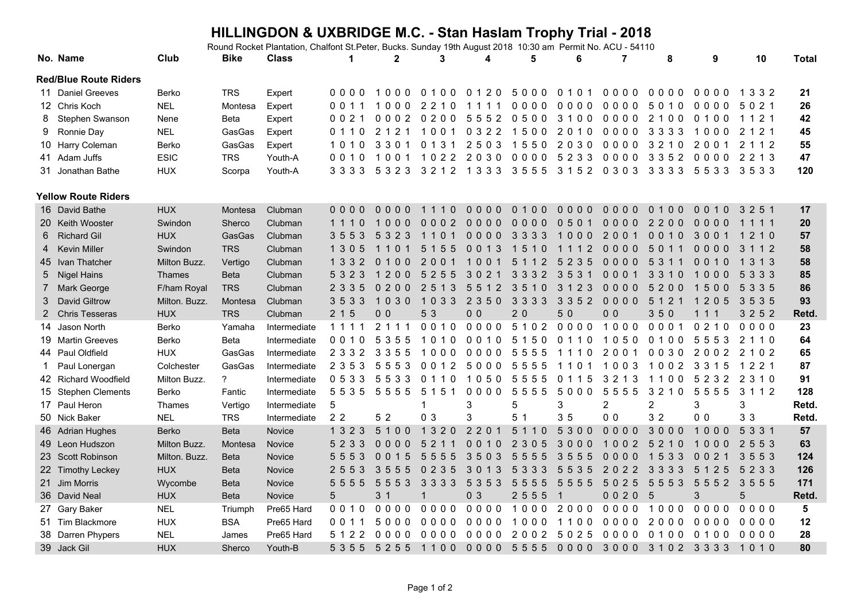## **HILLINGDON & UXBRIDGE M.C. - Stan Haslam Trophy Trial - 2018**

Round Rocket Plantation, Chalfont St.Peter, Bucks. Sunday 19th August 2018 10:30 am Permit No. ACU - 54110

|    | No. Name                     | Club          | <b>Bike</b>    | <b>Class</b> | 1              | $\mathbf 2$         | 3                              | 4                                     | 5                       | 6                                                 | 7              | 8                       | 9                    | 10                      | <b>Total</b> |
|----|------------------------------|---------------|----------------|--------------|----------------|---------------------|--------------------------------|---------------------------------------|-------------------------|---------------------------------------------------|----------------|-------------------------|----------------------|-------------------------|--------------|
|    | <b>Red/Blue Route Riders</b> |               |                |              |                |                     |                                |                                       |                         |                                                   |                |                         |                      |                         |              |
|    | 11 Daniel Greeves            | Berko         | <b>TRS</b>     | Expert       | 0000           | 1000                | 0100                           | 0120                                  | 5000 0101               |                                                   | 0000           | 0000                    | 0000                 | 1 3 3 2                 | 21           |
|    | 12 Chris Koch                | <b>NEL</b>    | Montesa        | Expert       | 0011           | 000<br>$\mathbf{1}$ | 2 2 1 0                        | 1111                                  | 0000                    | 0000                                              | 0000           | 5010                    | 0000                 | 5 0 2 1                 | 26           |
| 8  | Stephen Swanson              | Nene          | Beta           | Expert       | 0 0 2 1        | 0002                | 0200                           | 5552                                  | 0500                    | 3 1 0 0                                           | 0000           | 2100                    | 0100                 | 1 1 2 1                 | 42           |
| 9  | Ronnie Day                   | <b>NEL</b>    | GasGas         | Expert       | 0 1 1 0        | 2 1 2 1             | 100<br>$\mathbf{1}$            | 0 3 2 2                               | 500<br>$\overline{1}$   | 2010                                              | 0000           | 3 3 3 3                 | 1000                 | $\overline{2}$<br>1 2 1 | 45           |
|    | 10 Harry Coleman             | Berko         | GasGas         | Expert       | 1010           | 3301                | 0 1 3 1                        | 2503                                  | 1550                    | 2030                                              | 0000           | 3 2 1 0                 | 2001                 | $\overline{2}$<br>112   | 55           |
|    | 41 Adam Juffs                | <b>ESIC</b>   | <b>TRS</b>     | Youth-A      | 0010           | 1001                | 1022                           | 2030                                  | 0000                    | 5 2 3 3                                           | 0000           | 3 3 5 2                 | 0000                 | 2 2 1 3                 | 47           |
|    | 31 Jonathan Bathe            | <b>HUX</b>    | Scorpa         | Youth-A      | 3 3 3 3        | 5 3 2 3             | 3 2 1 2                        | 1 3 3 3                               | 3555                    | 3 1 5 2                                           | 0 3 0 3        | 3 3 3 3                 | 5533                 | 3533                    | 120          |
|    | <b>Yellow Route Riders</b>   |               |                |              |                |                     |                                |                                       |                         |                                                   |                |                         |                      |                         |              |
|    | 16 David Bathe               | <b>HUX</b>    | Montesa        | Clubman      | 0000           | 0000                | 1110                           | $0000$                                | 0100                    | $0000$                                            | $0000$         | 0 1 0 0                 | $0.0110$             | 3 2 5 1                 | 17           |
|    | 20 Keith Wooster             | Swindon       | Sherco         | Clubman      | 1110           | 000                 | 0002                           | $0000$                                | $0000$                  | 0501                                              | $0000$         | 2200                    | 0000                 | 1 1 1 1                 | 20           |
| 6  | <b>Richard Gil</b>           | <b>HUX</b>    | GasGas         | Clubman      | 3553           | 5 3 2 3             | 1101                           | $0000$                                | 3 3 3 3                 | 1000                                              | 2001           | 0010                    | 3001                 | 1 2 1 0                 | 57           |
|    | <b>Kevin Miller</b>          | Swindon       | <b>TRS</b>     | Clubman      | 1 3 0 5        | 1101                | 5 1 5 5                        | 0013                                  | 5 1 0<br>$\overline{1}$ | 1 1 1 2                                           | $0000$         | 5 0 1 1                 | $0000$               | 3 1 1 2                 | 58           |
|    | 45 Ivan Thatcher             | Milton Buzz.  | Vertigo        | Clubman      | 133            | $\Omega$<br>100     | 2 <sub>0</sub><br>$\mathbf{0}$ | 00                                    | 5.<br>2<br>$\mathbf{1}$ | 2<br>3<br>$\overline{5}$<br>5                     | $0000$         | 5<br>3<br>$\mathbf 1$   | 0 <sub>0</sub><br>10 | 1 3 1 3                 | 58           |
| 5  | <b>Nigel Hains</b>           | <b>Thames</b> | <b>Beta</b>    | Clubman      | 5 3 2 3        | 200                 | 5<br>5<br>2<br>5               | 302                                   | 33<br>32                | $3\,5$<br>3<br>$\mathbf 1$                        | 0001           | 3 3 1 0                 | $000$                | 5 3 3 3                 | 85           |
|    | <b>Mark George</b>           | F/ham Royal   | <b>TRS</b>     | Clubman      | 2 3 3 5        | $\mathbf{0}$<br>200 | 3<br>25<br>$\overline{1}$      | $\overline{2}$<br>5<br>5 <sub>1</sub> | $3\,5$<br>10            | 2 3<br>3 1                                        | 0000           | 5200                    | 1500                 | 5 3 3 5                 | 86           |
| 3  | <b>David Giltrow</b>         | Milton. Buzz. | Montesa        | Clubman      | 3533           | 1030                | 1033                           | 2 3 5 0                               | 3 3 3 3                 | 3 3 5 2                                           | 0000           | 5 1 2 1                 | 1 2 0 5              | 3535                    | 93           |
| 2  | <b>Chris Tesseras</b>        | <b>HUX</b>    | <b>TRS</b>     | Clubman      | 2 1 5          | 0 <sub>0</sub>      | 5 3                            | 0 <sub>0</sub>                        | 20                      | 50                                                | 0 <sub>0</sub> | 350                     | 1 1 1                | 3 2 5 2                 | Retd.        |
| 14 | Jason North                  | Berko         | Yamaha         | Intermediate | 1 1 1 1        | 2 1 1 1             | 0010                           | 0000                                  | 5 1 0 2                 | 0000                                              | 1000           | 0001                    | 0210                 | 0000                    | 23           |
|    | 19 Martin Greeves            | Berko         | <b>Beta</b>    | Intermediate | 0010           | 5 3 5 5             | 1010                           | 0010                                  | 5 1 5 0                 | 0 1 1 0                                           | 1050           | 0100                    | 5553                 | 2 1 1 0                 | 64           |
|    | 44 Paul Oldfield             | <b>HUX</b>    | GasGas         | Intermediate | 2 3 3 2        | 3 3 5 5             | 1000                           | 0000                                  | 5555                    | 1110                                              | 2001           | 0030                    | 2002                 | 2 1 0 2                 | 65           |
| 1  | Paul Lonergan                | Colchester    | GasGas         | Intermediate | 2 3 5 3        | 5553                | 0 0 1 2                        | 5000                                  | 5555                    | 1101                                              | 1003           | 1002                    | 3 3 1 5              | 1 2 2 1                 | 87           |
|    | 42 Richard Woodfield         | Milton Buzz.  | $\overline{?}$ | Intermediate | 0 5 3 3        | 5533                | 0110                           | 1050                                  | 5555                    | 0 1 1 5                                           | 3 2 1 3        | 1100                    | 5 2 3 2              | 2 3 1 0                 | 91           |
|    | 15 Stephen Clements          | Berko         | Fantic         | Intermediate | 5535           | 5555                | 5 1 5 1                        | 0000                                  | 5555                    | 5000                                              | 5555           | 3 2 1 0                 | 5555                 | 3 1 1 2                 | 128          |
|    | 17 Paul Heron                | Thames        | Vertigo        | Intermediate | 5              |                     | 1                              | 3                                     | 5                       | 3                                                 | $\overline{2}$ | $\overline{c}$          | 3                    | 3                       | Retd.        |
|    | 50 Nick Baker                | <b>NEL</b>    | <b>TRS</b>     | Intermediate | 2 <sub>2</sub> | 5 2                 | 0 <sub>3</sub>                 | 3                                     | 5 <sub>1</sub>          | 35                                                | 0 <sub>0</sub> | 3 2                     | 0 <sub>0</sub>       | 33                      | Retd.        |
|    | 46 Adrian Hughes             | Berko         | <b>Beta</b>    | Novice       | 1 3 2 3        | 5100                | 1 3 2 0                        | 2 2 0 1                               | 5<br>110                | 5300                                              | 0000           | 3000                    | 1000                 | 5 3 3 1                 | 57           |
|    | 49 Leon Hudszon              | Milton Buzz.  | Montesa        | Novice       | 5 2 3 3        | 0000                | 5<br>2                         | 0010                                  | 2 3 0 5                 | 3000                                              | 1002           | 5<br>2 1 0              | 1000                 | 2 5 5 3                 | 63           |
|    | 23 Scott Robinson            | Milton. Buzz. | <b>Beta</b>    | Novice       | 5553           | 0015                | 5<br>55<br>5                   | 3<br>50<br>3                          | 5<br>5<br>55            | 3<br>$5\overline{)}$<br>$\overline{5}$<br>-5      | 0000           | 5 3 3<br>$\overline{1}$ | 0 <sub>0</sub><br>2  | 5 5 3<br>3              | 124          |
|    | 22 Timothy Leckey            | <b>HUX</b>    | <b>Beta</b>    | Novice       | 2 5 5 3        | 3555                | 35<br>0 <sub>2</sub>           | 3<br>013                              | 5<br>3<br>33            | 35<br>55                                          | 2022           | 3 3 3 3                 | 5 1 2 5              | 5 2 3 3                 | 126          |
|    | 21 Jim Morris                | Wycombe       | <b>Beta</b>    | Novice       | 5 5 5 5        | 5 5 5 3             | 3 3 3 3                        | 5 3 5 3                               | 5<br>5<br>55            | 5 5 5 5                                           | 5025           | 5553                    | 5552                 | 3555                    | 171          |
|    | 36 David Neal                | <b>HUX</b>    | <b>Beta</b>    | Novice       | 5              | 3 <sub>1</sub>      | $\mathbf{1}$                   | 0 <sub>3</sub>                        | 2 5 5 5                 | $\overline{1}$                                    | 0020           | 5                       | 3                    | 5                       | Retd.        |
|    | 27 Gary Baker                | <b>NEL</b>    | Triumph        | Pre65 Hard   | 0010           | 0000                | 0000                           | 0000                                  | 1000                    | 2000                                              | 0000           | 1000                    | 0000                 | 0000                    | 5            |
|    | 51 Tim Blackmore             | <b>HUX</b>    | <b>BSA</b>     | Pre65 Hard   | 0 0 1 1        | 5000                | 0000                           | 0000                                  | 1000                    | 1100                                              | 0000           | 2000                    | 0000                 | 0000                    | 12           |
|    | 38 Darren Phypers            | <b>NEL</b>    | James          | Pre65 Hard   | 5 1 2 2        | 0000                | 0000                           | 0000                                  | 2002                    | 5 0 2 5                                           | 0000           | 0100                    | 0100                 | 0000                    | 28           |
|    | 39 Jack Gil                  | <b>HUX</b>    | Sherco         | Youth-B      |                |                     |                                |                                       |                         | 5355 5255 1100 0000 5555 0000 3000 3102 3333 1010 |                |                         |                      |                         | 80           |